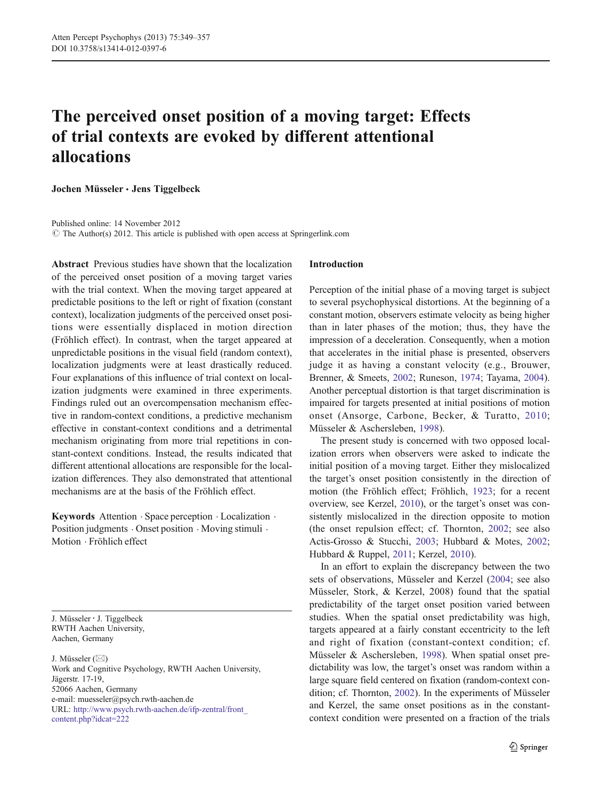# <span id="page-0-0"></span>The perceived onset position of a moving target: Effects of trial contexts are evoked by different attentional allocations

Jochen Müsseler & Jens Tiggelbeck

Published online: 14 November 2012  $\circ$  The Author(s) 2012. This article is published with open access at Springerlink.com

Abstract Previous studies have shown that the localization of the perceived onset position of a moving target varies with the trial context. When the moving target appeared at predictable positions to the left or right of fixation (constant context), localization judgments of the perceived onset positions were essentially displaced in motion direction (Fröhlich effect). In contrast, when the target appeared at unpredictable positions in the visual field (random context), localization judgments were at least drastically reduced. Four explanations of this influence of trial context on localization judgments were examined in three experiments. Findings ruled out an overcompensation mechanism effective in random-context conditions, a predictive mechanism effective in constant-context conditions and a detrimental mechanism originating from more trial repetitions in constant-context conditions. Instead, the results indicated that different attentional allocations are responsible for the localization differences. They also demonstrated that attentional mechanisms are at the basis of the Fröhlich effect.

Keywords Attention . Space perception . Localization . Position judgments . Onset position . Moving stimuli . Motion . Fröhlich effect

J. Müsseler : J. Tiggelbeck RWTH Aachen University, Aachen, Germany

J. Müsseler  $(\boxtimes)$ Work and Cognitive Psychology, RWTH Aachen University, Jägerstr. 17-19, 52066 Aachen, Germany e-mail: muesseler@psych.rwth-aachen.de URL: [http://www.psych.rwth-aachen.de/ifp-zentral/front\\_](http://http://www.psych.rwth-aachen.de/ifp-zentral/front_content.php?idcat=222) [content.php?idcat=222](http://http://www.psych.rwth-aachen.de/ifp-zentral/front_content.php?idcat=222)

# Introduction

Perception of the initial phase of a moving target is subject to several psychophysical distortions. At the beginning of a constant motion, observers estimate velocity as being higher than in later phases of the motion; thus, they have the impression of a deceleration. Consequently, when a motion that accelerates in the initial phase is presented, observers judge it as having a constant velocity (e.g., Brouwer, Brenner, & Smeets, [2002;](#page-7-0) Runeson, [1974](#page-8-0); Tayama, [2004\)](#page-8-0). Another perceptual distortion is that target discrimination is impaired for targets presented at initial positions of motion onset (Ansorge, Carbone, Becker, & Turatto, [2010;](#page-7-0) Müsseler & Aschersleben, [1998\)](#page-8-0).

The present study is concerned with two opposed localization errors when observers were asked to indicate the initial position of a moving target. Either they mislocalized the target's onset position consistently in the direction of motion (the Fröhlich effect; Fröhlich, [1923;](#page-8-0) for a recent overview, see Kerzel, [2010\)](#page-8-0), or the target's onset was consistently mislocalized in the direction opposite to motion (the onset repulsion effect; cf. Thornton, [2002](#page-8-0); see also Actis-Grosso & Stucchi, [2003](#page-7-0); Hubbard & Motes, [2002;](#page-8-0) Hubbard & Ruppel, [2011](#page-8-0); Kerzel, [2010\)](#page-8-0).

In an effort to explain the discrepancy between the two sets of observations, Müsseler and Kerzel [\(2004](#page-8-0); see also Müsseler, Stork, & Kerzel, 2008) found that the spatial predictability of the target onset position varied between studies. When the spatial onset predictability was high, targets appeared at a fairly constant eccentricity to the left and right of fixation (constant-context condition; cf. Müsseler & Aschersleben, [1998](#page-8-0)). When spatial onset predictability was low, the target's onset was random within a large square field centered on fixation (random-context condition; cf. Thornton, [2002](#page-8-0)). In the experiments of Müsseler and Kerzel, the same onset positions as in the constantcontext condition were presented on a fraction of the trials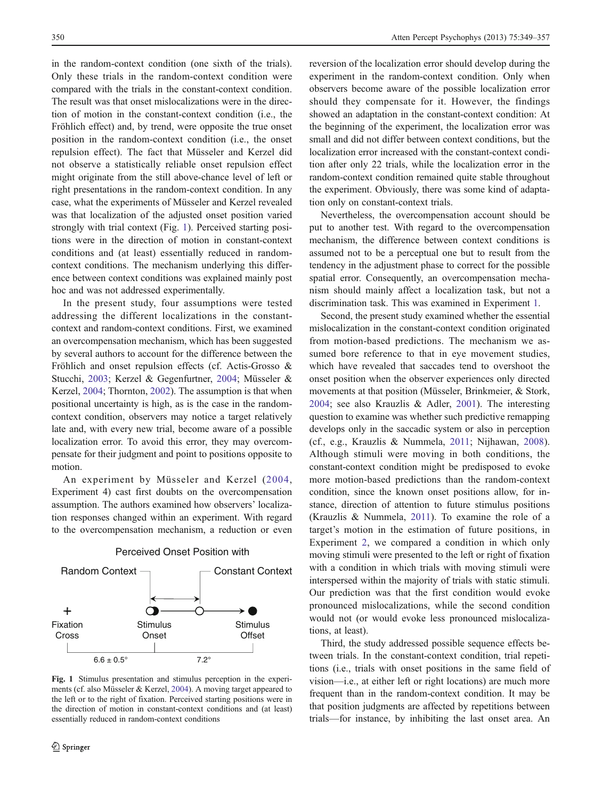in the random-context condition (one sixth of the trials). Only these trials in the random-context condition were compared with the trials in the constant-context condition. The result was that onset mislocalizations were in the direction of motion in the constant-context condition (i.e., the Fröhlich effect) and, by trend, were opposite the true onset position in the random-context condition (i.e., the onset repulsion effect). The fact that Müsseler and Kerzel did not observe a statistically reliable onset repulsion effect might originate from the still above-chance level of left or right presentations in the random-context condition. In any case, what the experiments of Müsseler and Kerzel revealed was that localization of the adjusted onset position varied strongly with trial context (Fig. 1). Perceived starting positions were in the direction of motion in constant-context conditions and (at least) essentially reduced in randomcontext conditions. The mechanism underlying this difference between context conditions was explained mainly post hoc and was not addressed experimentally.

In the present study, four assumptions were tested addressing the different localizations in the constantcontext and random-context conditions. First, we examined an overcompensation mechanism, which has been suggested by several authors to account for the difference between the Fröhlich and onset repulsion effects (cf. Actis-Grosso & Stucchi, [2003](#page-7-0); Kerzel & Gegenfurtner, [2004;](#page-8-0) Müsseler & Kerzel, [2004;](#page-8-0) Thornton, [2002\)](#page-8-0). The assumption is that when positional uncertainty is high, as is the case in the randomcontext condition, observers may notice a target relatively late and, with every new trial, become aware of a possible localization error. To avoid this error, they may overcompensate for their judgment and point to positions opposite to motion.

An experiment by Müsseler and Kerzel ([2004,](#page-8-0) Experiment 4) cast first doubts on the overcompensation assumption. The authors examined how observers' localization responses changed within an experiment. With regard to the overcompensation mechanism, a reduction or even



#### Perceived Onset Position with

Fig. 1 Stimulus presentation and stimulus perception in the experiments (cf. also Müsseler & Kerzel, [2004\)](#page-8-0). A moving target appeared to the left or to the right of fixation. Perceived starting positions were in the direction of motion in constant-context conditions and (at least) essentially reduced in random-context conditions

reversion of the localization error should develop during the experiment in the random-context condition. Only when observers become aware of the possible localization error should they compensate for it. However, the findings showed an adaptation in the constant-context condition: At the beginning of the experiment, the localization error was small and did not differ between context conditions, but the localization error increased with the constant-context condition after only 22 trials, while the localization error in the random-context condition remained quite stable throughout the experiment. Obviously, there was some kind of adaptation only on constant-context trials.

Nevertheless, the overcompensation account should be put to another test. With regard to the overcompensation mechanism, the difference between context conditions is assumed not to be a perceptual one but to result from the tendency in the adjustment phase to correct for the possible spatial error. Consequently, an overcompensation mechanism should mainly affect a localization task, but not a discrimination task. This was examined in Experiment [1.](#page-2-0)

Second, the present study examined whether the essential mislocalization in the constant-context condition originated from motion-based predictions. The mechanism we assumed bore reference to that in eye movement studies, which have revealed that saccades tend to overshoot the onset position when the observer experiences only directed movements at that position (Müsseler, Brinkmeier, & Stork, [2004](#page-8-0); see also Krauzlis & Adler, [2001\)](#page-8-0). The interesting question to examine was whether such predictive remapping develops only in the saccadic system or also in perception (cf., e.g., Krauzlis & Nummela, [2011](#page-8-0); Nijhawan, [2008](#page-8-0)). Although stimuli were moving in both conditions, the constant-context condition might be predisposed to evoke more motion-based predictions than the random-context condition, since the known onset positions allow, for instance, direction of attention to future stimulus positions (Krauzlis & Nummela, [2011](#page-8-0)). To examine the role of a target's motion in the estimation of future positions, in Experiment [2](#page-3-0), we compared a condition in which only moving stimuli were presented to the left or right of fixation with a condition in which trials with moving stimuli were interspersed within the majority of trials with static stimuli. Our prediction was that the first condition would evoke pronounced mislocalizations, while the second condition would not (or would evoke less pronounced mislocalizations, at least).

Third, the study addressed possible sequence effects between trials. In the constant-context condition, trial repetitions (i.e., trials with onset positions in the same field of vision—i.e., at either left or right locations) are much more frequent than in the random-context condition. It may be that position judgments are affected by repetitions between trials—for instance, by inhibiting the last onset area. An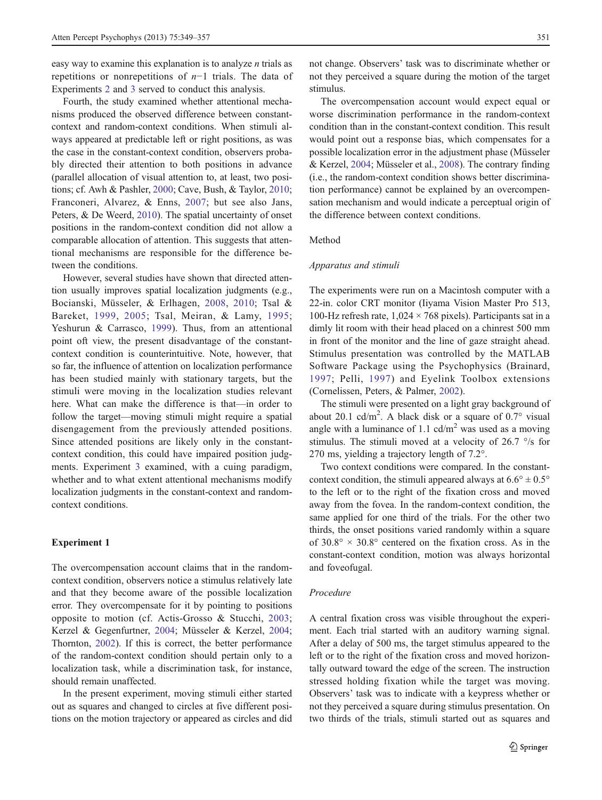<span id="page-2-0"></span>easy way to examine this explanation is to analyze  $n$  trials as repetitions or nonrepetitions of n−1 trials. The data of Experiments [2](#page-3-0) and [3](#page-5-0) served to conduct this analysis.

Fourth, the study examined whether attentional mechanisms produced the observed difference between constantcontext and random-context conditions. When stimuli always appeared at predictable left or right positions, as was the case in the constant-context condition, observers probably directed their attention to both positions in advance (parallel allocation of visual attention to, at least, two positions; cf. Awh & Pashler, [2000](#page-7-0); Cave, Bush, & Taylor, [2010](#page-7-0); Franconeri, Alvarez, & Enns, [2007](#page-7-0); but see also Jans, Peters, & De Weerd, [2010\)](#page-8-0). The spatial uncertainty of onset positions in the random-context condition did not allow a comparable allocation of attention. This suggests that attentional mechanisms are responsible for the difference between the conditions.

However, several studies have shown that directed attention usually improves spatial localization judgments (e.g., Bocianski, Müsseler, & Erlhagen, [2008,](#page-7-0) [2010;](#page-7-0) Tsal & Bareket, [1999](#page-8-0), [2005](#page-8-0); Tsal, Meiran, & Lamy, [1995](#page-8-0); Yeshurun & Carrasco, [1999](#page-8-0)). Thus, from an attentional point oft view, the present disadvantage of the constantcontext condition is counterintuitive. Note, however, that so far, the influence of attention on localization performance has been studied mainly with stationary targets, but the stimuli were moving in the localization studies relevant here. What can make the difference is that—in order to follow the target—moving stimuli might require a spatial disengagement from the previously attended positions. Since attended positions are likely only in the constantcontext condition, this could have impaired position judgments. Experiment [3](#page-5-0) examined, with a cuing paradigm, whether and to what extent attentional mechanisms modify localization judgments in the constant-context and randomcontext conditions.

#### Experiment 1

The overcompensation account claims that in the randomcontext condition, observers notice a stimulus relatively late and that they become aware of the possible localization error. They overcompensate for it by pointing to positions opposite to motion (cf. Actis-Grosso & Stucchi, [2003](#page-7-0); Kerzel & Gegenfurtner, [2004](#page-8-0); Müsseler & Kerzel, [2004](#page-8-0); Thornton, [2002](#page-8-0)). If this is correct, the better performance of the random-context condition should pertain only to a localization task, while a discrimination task, for instance, should remain unaffected.

In the present experiment, moving stimuli either started out as squares and changed to circles at five different positions on the motion trajectory or appeared as circles and did

not change. Observers' task was to discriminate whether or not they perceived a square during the motion of the target stimulus.

The overcompensation account would expect equal or worse discrimination performance in the random-context condition than in the constant-context condition. This result would point out a response bias, which compensates for a possible localization error in the adjustment phase (Müsseler & Kerzel, [2004](#page-8-0); Müsseler et al., [2008\)](#page-8-0). The contrary finding (i.e., the random-context condition shows better discrimination performance) cannot be explained by an overcompensation mechanism and would indicate a perceptual origin of the difference between context conditions.

#### Method

#### Apparatus and stimuli

The experiments were run on a Macintosh computer with a 22-in. color CRT monitor (Iiyama Vision Master Pro 513, 100-Hz refresh rate,  $1,024 \times 768$  pixels). Participants sat in a dimly lit room with their head placed on a chinrest 500 mm in front of the monitor and the line of gaze straight ahead. Stimulus presentation was controlled by the MATLAB Software Package using the Psychophysics (Brainard, [1997](#page-7-0); Pelli, [1997](#page-8-0)) and Eyelink Toolbox extensions (Cornelissen, Peters, & Palmer, [2002\)](#page-7-0).

The stimuli were presented on a light gray background of about 20.1 cd/m<sup>2</sup>. A black disk or a square of  $0.7^{\circ}$  visual angle with a luminance of 1.1  $\text{cd/m}^2$  was used as a moving stimulus. The stimuli moved at a velocity of 26.7 °/s for 270 ms, yielding a trajectory length of 7.2°.

Two context conditions were compared. In the constantcontext condition, the stimuli appeared always at  $6.6^{\circ} \pm 0.5^{\circ}$ to the left or to the right of the fixation cross and moved away from the fovea. In the random-context condition, the same applied for one third of the trials. For the other two thirds, the onset positions varied randomly within a square of  $30.8^{\circ} \times 30.8^{\circ}$  centered on the fixation cross. As in the constant-context condition, motion was always horizontal and foveofugal.

# Procedure

A central fixation cross was visible throughout the experiment. Each trial started with an auditory warning signal. After a delay of 500 ms, the target stimulus appeared to the left or to the right of the fixation cross and moved horizontally outward toward the edge of the screen. The instruction stressed holding fixation while the target was moving. Observers' task was to indicate with a keypress whether or not they perceived a square during stimulus presentation. On two thirds of the trials, stimuli started out as squares and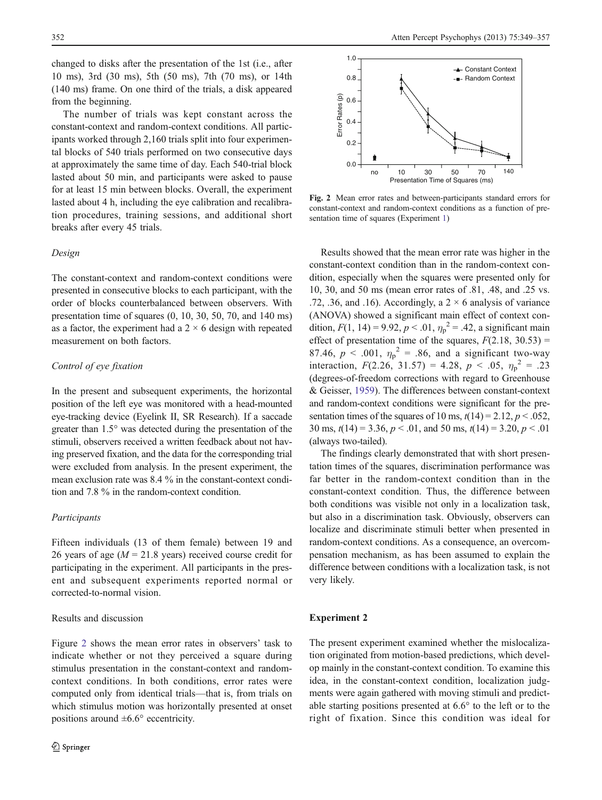<span id="page-3-0"></span>changed to disks after the presentation of the 1st (i.e., after 10 ms), 3rd (30 ms), 5th (50 ms), 7th (70 ms), or 14th (140 ms) frame. On one third of the trials, a disk appeared from the beginning.

The number of trials was kept constant across the constant-context and random-context conditions. All participants worked through 2,160 trials split into four experimental blocks of 540 trials performed on two consecutive days at approximately the same time of day. Each 540-trial block lasted about 50 min, and participants were asked to pause for at least 15 min between blocks. Overall, the experiment lasted about 4 h, including the eye calibration and recalibration procedures, training sessions, and additional short breaks after every 45 trials.

#### Design

The constant-context and random-context conditions were presented in consecutive blocks to each participant, with the order of blocks counterbalanced between observers. With presentation time of squares (0, 10, 30, 50, 70, and 140 ms) as a factor, the experiment had a  $2 \times 6$  design with repeated measurement on both factors.

# Control of eye fixation

In the present and subsequent experiments, the horizontal position of the left eye was monitored with a head-mounted eye-tracking device (Eyelink II, SR Research). If a saccade greater than 1.5° was detected during the presentation of the stimuli, observers received a written feedback about not having preserved fixation, and the data for the corresponding trial were excluded from analysis. In the present experiment, the mean exclusion rate was 8.4 % in the constant-context condition and 7.8 % in the random-context condition.

# Participants

Fifteen individuals (13 of them female) between 19 and 26 years of age ( $M = 21.8$  years) received course credit for participating in the experiment. All participants in the present and subsequent experiments reported normal or corrected-to-normal vision.

#### Results and discussion



Fig. 2 Mean error rates and between-participants standard errors for constant-context and random-context conditions as a function of presentation time of squares (Experiment [1](#page-2-0))

Results showed that the mean error rate was higher in the constant-context condition than in the random-context condition, especially when the squares were presented only for 10, 30, and 50 ms (mean error rates of .81, .48, and .25 vs. .72, .36, and .16). Accordingly, a  $2 \times 6$  analysis of variance (ANOVA) showed a significant main effect of context condition,  $F(1, 14) = 9.92, p < .01, \eta_p^2 = .42$ , a significant main effect of presentation time of the squares,  $F(2.18, 30.53)$  = 87.46,  $p < .001$ ,  $\eta_p^2 = .86$ , and a significant two-way interaction,  $F(2.26, 31.57) = 4.28, p < .05, \eta_p^2 = .23$ (degrees-of-freedom corrections with regard to Greenhouse & Geisser, [1959\)](#page-8-0). The differences between constant-context and random-context conditions were significant for the presentation times of the squares of 10 ms,  $t(14) = 2.12$ ,  $p < .052$ , 30 ms,  $t(14) = 3.36$ ,  $p < .01$ , and 50 ms,  $t(14) = 3.20$ ,  $p < .01$ (always two-tailed).

The findings clearly demonstrated that with short presentation times of the squares, discrimination performance was far better in the random-context condition than in the constant-context condition. Thus, the difference between both conditions was visible not only in a localization task, but also in a discrimination task. Obviously, observers can localize and discriminate stimuli better when presented in random-context conditions. As a consequence, an overcompensation mechanism, as has been assumed to explain the difference between conditions with a localization task, is not very likely.

# Experiment 2

The present experiment examined whether the mislocalization originated from motion-based predictions, which develop mainly in the constant-context condition. To examine this idea, in the constant-context condition, localization judgments were again gathered with moving stimuli and predictable starting positions presented at 6.6° to the left or to the right of fixation. Since this condition was ideal for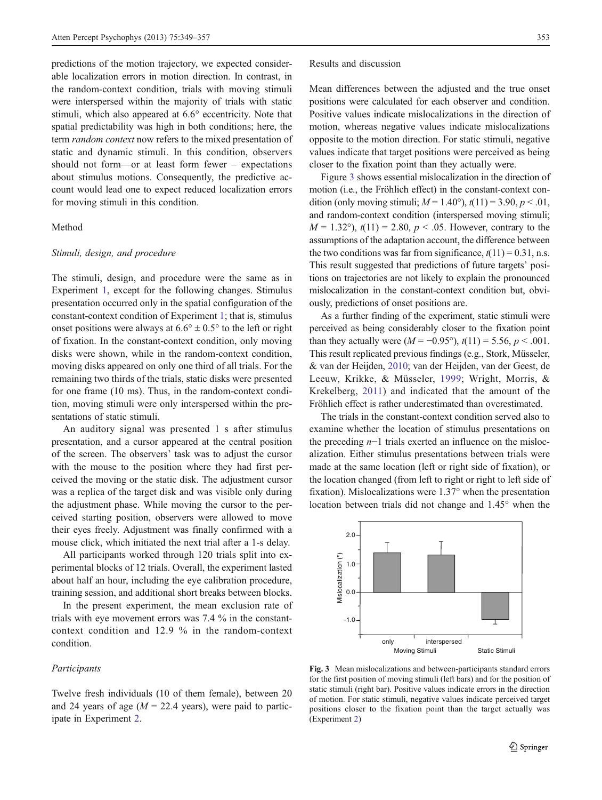predictions of the motion trajectory, we expected considerable localization errors in motion direction. In contrast, in the random-context condition, trials with moving stimuli were interspersed within the majority of trials with static stimuli, which also appeared at 6.6° eccentricity. Note that spatial predictability was high in both conditions; here, the term *random context* now refers to the mixed presentation of static and dynamic stimuli. In this condition, observers should not form—or at least form fewer – expectations about stimulus motions. Consequently, the predictive account would lead one to expect reduced localization errors for moving stimuli in this condition.

## Method

# Stimuli, design, and procedure

The stimuli, design, and procedure were the same as in Experiment [1,](#page-2-0) except for the following changes. Stimulus presentation occurred only in the spatial configuration of the constant-context condition of Experiment [1](#page-2-0); that is, stimulus onset positions were always at  $6.6^{\circ} \pm 0.5^{\circ}$  to the left or right of fixation. In the constant-context condition, only moving disks were shown, while in the random-context condition, moving disks appeared on only one third of all trials. For the remaining two thirds of the trials, static disks were presented for one frame (10 ms). Thus, in the random-context condition, moving stimuli were only interspersed within the presentations of static stimuli.

An auditory signal was presented 1 s after stimulus presentation, and a cursor appeared at the central position of the screen. The observers' task was to adjust the cursor with the mouse to the position where they had first perceived the moving or the static disk. The adjustment cursor was a replica of the target disk and was visible only during the adjustment phase. While moving the cursor to the perceived starting position, observers were allowed to move their eyes freely. Adjustment was finally confirmed with a mouse click, which initiated the next trial after a 1-s delay.

All participants worked through 120 trials split into experimental blocks of 12 trials. Overall, the experiment lasted about half an hour, including the eye calibration procedure, training session, and additional short breaks between blocks.

In the present experiment, the mean exclusion rate of trials with eye movement errors was 7.4 % in the constantcontext condition and 12.9 % in the random-context condition.

#### Participants

Twelve fresh individuals (10 of them female), between 20 and 24 years of age ( $M = 22.4$  years), were paid to participate in Experiment [2.](#page-3-0)

Results and discussion

Mean differences between the adjusted and the true onset positions were calculated for each observer and condition. Positive values indicate mislocalizations in the direction of motion, whereas negative values indicate mislocalizations opposite to the motion direction. For static stimuli, negative values indicate that target positions were perceived as being closer to the fixation point than they actually were.

Figure 3 shows essential mislocalization in the direction of motion (i.e., the Fröhlich effect) in the constant-context condition (only moving stimuli;  $M = 1.40^{\circ}$ ),  $t(11) = 3.90, p < .01$ , and random-context condition (interspersed moving stimuli;  $M = 1.32^{\circ}$ ),  $t(11) = 2.80, p < .05$ . However, contrary to the assumptions of the adaptation account, the difference between the two conditions was far from significance,  $t(11) = 0.31$ , n.s. This result suggested that predictions of future targets' positions on trajectories are not likely to explain the pronounced mislocalization in the constant-context condition but, obviously, predictions of onset positions are.

As a further finding of the experiment, static stimuli were perceived as being considerably closer to the fixation point than they actually were  $(M = -0.95^{\circ})$ ,  $t(11) = 5.56$ ,  $p < .001$ . This result replicated previous findings (e.g., Stork, Müsseler, & van der Heijden, [2010](#page-8-0); van der Heijden, van der Geest, de Leeuw, Krikke, & Müsseler, [1999;](#page-8-0) Wright, Morris, & Krekelberg, [2011\)](#page-8-0) and indicated that the amount of the Fröhlich effect is rather underestimated than overestimated.

The trials in the constant-context condition served also to examine whether the location of stimulus presentations on the preceding n−1 trials exerted an influence on the mislocalization. Either stimulus presentations between trials were made at the same location (left or right side of fixation), or the location changed (from left to right or right to left side of fixation). Mislocalizations were 1.37° when the presentation location between trials did not change and 1.45° when the



Fig. 3 Mean mislocalizations and between-participants standard errors for the first position of moving stimuli (left bars) and for the position of static stimuli (right bar). Positive values indicate errors in the direction of motion. For static stimuli, negative values indicate perceived target positions closer to the fixation point than the target actually was (Experiment [2\)](#page-3-0)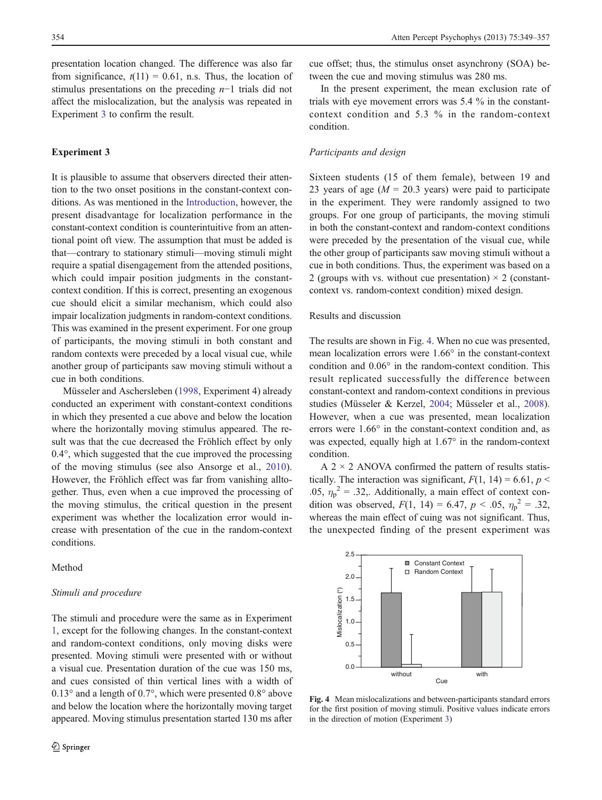<span id="page-5-0"></span>presentation location changed. The difference was also far from significance,  $t(11) = 0.61$ , n.s. Thus, the location of stimulus presentations on the preceding n−1 trials did not affect the mislocalization, but the analysis was repeated in Experiment 3 to confirm the result.

# Experiment 3

It is plausible to assume that observers directed their attention to the two onset positions in the constant-context conditions. As was mentioned in the [Introduction](#page-0-0), however, the present disadvantage for localization performance in the constant-context condition is counterintuitive from an attentional point oft view. The assumption that must be added is that—contrary to stationary stimuli—moving stimuli might require a spatial disengagement from the attended positions, which could impair position judgments in the constantcontext condition. If this is correct, presenting an exogenous cue should elicit a similar mechanism, which could also impair localization judgments in random-context conditions. This was examined in the present experiment. For one group of participants, the moving stimuli in both constant and random contexts were preceded by a local visual cue, while another group of participants saw moving stimuli without a cue in both conditions.

Müsseler and Aschersleben [\(1998](#page-8-0), Experiment 4) already conducted an experiment with constant-context conditions in which they presented a cue above and below the location where the horizontally moving stimulus appeared. The result was that the cue decreased the Fröhlich effect by only 0.4°, which suggested that the cue improved the processing of the moving stimulus (see also Ansorge et al., [2010](#page-7-0)). However, the Fröhlich effect was far from vanishing alltogether. Thus, even when a cue improved the processing of the moving stimulus, the critical question in the present experiment was whether the localization error would increase with presentation of the cue in the random-context conditions.

Method

#### Stimuli and procedure

The stimuli and procedure were the same as in Experiment [1](#page-2-0), except for the following changes. In the constant-context and random-context conditions, only moving disks were presented. Moving stimuli were presented with or without a visual cue. Presentation duration of the cue was 150 ms, and cues consisted of thin vertical lines with a width of 0.13° and a length of 0.7°, which were presented 0.8° above and below the location where the horizontally moving target appeared. Moving stimulus presentation started 130 ms after

cue offset; thus, the stimulus onset asynchrony (SOA) between the cue and moving stimulus was 280 ms.

In the present experiment, the mean exclusion rate of trials with eye movement errors was 5.4 % in the constantcontext condition and 5.3 % in the random-context condition.

#### Participants and design

Sixteen students (15 of them female), between 19 and 23 years of age ( $M = 20.3$  years) were paid to participate in the experiment. They were randomly assigned to two groups. For one group of participants, the moving stimuli in both the constant-context and random-context conditions were preceded by the presentation of the visual cue, while the other group of participants saw moving stimuli without a cue in both conditions. Thus, the experiment was based on a 2 (groups with vs. without cue presentation)  $\times$  2 (constantcontext vs. random-context condition) mixed design.

# Results and discussion

The results are shown in Fig. 4. When no cue was presented, mean localization errors were 1.66° in the constant-context condition and 0.06° in the random-context condition. This result replicated successfully the difference between constant-context and random-context conditions in previous studies (Müsseler & Kerzel, [2004;](#page-8-0) Müsseler et al., [2008\)](#page-8-0). However, when a cue was presented, mean localization errors were 1.66° in the constant-context condition and, as was expected, equally high at 1.67° in the random-context condition.

A  $2 \times 2$  ANOVA confirmed the pattern of results statistically. The interaction was significant,  $F(1, 14) = 6.61$ ,  $p <$ .05,  $\eta_p^2 = .32$ ,. Additionally, a main effect of context condition was observed,  $F(1, 14) = 6.47$ ,  $p < .05$ ,  $\eta_p^2 = .32$ , whereas the main effect of cuing was not significant. Thus, the unexpected finding of the present experiment was



Fig. 4 Mean mislocalizations and between-participants standard errors for the first position of moving stimuli. Positive values indicate errors in the direction of motion (Experiment 3)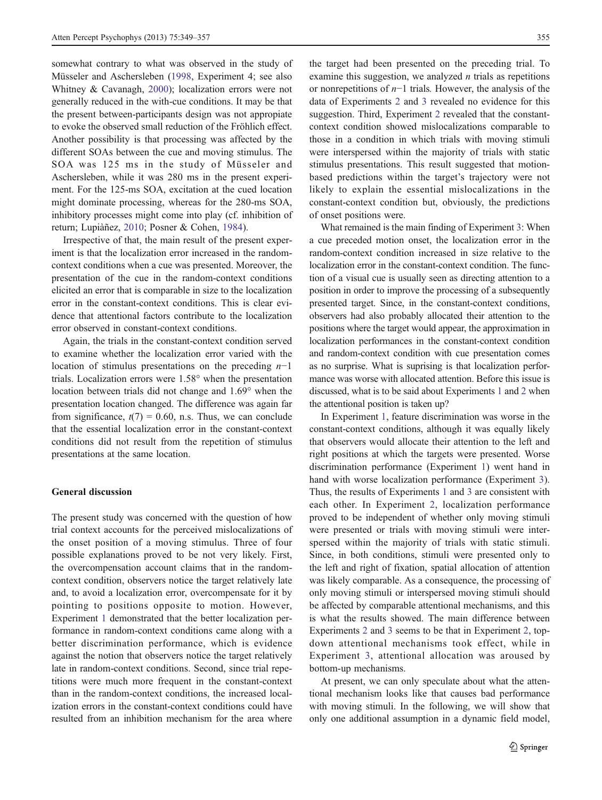somewhat contrary to what was observed in the study of Müsseler and Aschersleben [\(1998](#page-8-0), Experiment 4; see also Whitney & Cavanagh, [2000\)](#page-8-0); localization errors were not generally reduced in the with-cue conditions. It may be that the present between-participants design was not appropiate to evoke the observed small reduction of the Fröhlich effect. Another possibility is that processing was affected by the different SOAs between the cue and moving stimulus. The SOA was 125 ms in the study of Müsseler and Aschersleben, while it was 280 ms in the present experiment. For the 125-ms SOA, excitation at the cued location might dominate processing, whereas for the 280-ms SOA, inhibitory processes might come into play (cf. inhibition of return; Lupiàñez, [2010](#page-8-0); Posner & Cohen, [1984](#page-8-0)).

Irrespective of that, the main result of the present experiment is that the localization error increased in the randomcontext conditions when a cue was presented. Moreover, the presentation of the cue in the random-context conditions elicited an error that is comparable in size to the localization error in the constant-context conditions. This is clear evidence that attentional factors contribute to the localization error observed in constant-context conditions.

Again, the trials in the constant-context condition served to examine whether the localization error varied with the location of stimulus presentations on the preceding  $n-1$ trials. Localization errors were 1.58° when the presentation location between trials did not change and 1.69° when the presentation location changed. The difference was again far from significance,  $t(7) = 0.60$ , n.s. Thus, we can conclude that the essential localization error in the constant-context conditions did not result from the repetition of stimulus presentations at the same location.

# General discussion

The present study was concerned with the question of how trial context accounts for the perceived mislocalizations of the onset position of a moving stimulus. Three of four possible explanations proved to be not very likely. First, the overcompensation account claims that in the randomcontext condition, observers notice the target relatively late and, to avoid a localization error, overcompensate for it by pointing to positions opposite to motion. However, Experiment [1](#page-2-0) demonstrated that the better localization performance in random-context conditions came along with a better discrimination performance, which is evidence against the notion that observers notice the target relatively late in random-context conditions. Second, since trial repetitions were much more frequent in the constant-context than in the random-context conditions, the increased localization errors in the constant-context conditions could have resulted from an inhibition mechanism for the area where

the target had been presented on the preceding trial. To examine this suggestion, we analyzed  $n$  trials as repetitions or nonrepetitions of n−1 trials. However, the analysis of the data of Experiments [2](#page-3-0) and [3](#page-5-0) revealed no evidence for this suggestion. Third, Experiment [2](#page-3-0) revealed that the constantcontext condition showed mislocalizations comparable to those in a condition in which trials with moving stimuli were interspersed within the majority of trials with static stimulus presentations. This result suggested that motionbased predictions within the target's trajectory were not likely to explain the essential mislocalizations in the constant-context condition but, obviously, the predictions of onset positions were.

What remained is the main finding of Experiment [3:](#page-5-0) When a cue preceded motion onset, the localization error in the random-context condition increased in size relative to the localization error in the constant-context condition. The function of a visual cue is usually seen as directing attention to a position in order to improve the processing of a subsequently presented target. Since, in the constant-context conditions, observers had also probably allocated their attention to the positions where the target would appear, the approximation in localization performances in the constant-context condition and random-context condition with cue presentation comes as no surprise. What is suprising is that localization performance was worse with allocated attention. Before this issue is discussed, what is to be said about Experiments [1](#page-2-0) and [2](#page-3-0) when the attentional position is taken up?

In Experiment [1](#page-2-0), feature discrimination was worse in the constant-context conditions, although it was equally likely that observers would allocate their attention to the left and right positions at which the targets were presented. Worse discrimination performance (Experiment [1](#page-2-0)) went hand in hand with worse localization performance (Experiment [3\)](#page-5-0). Thus, the results of Experiments [1](#page-2-0) and [3](#page-5-0) are consistent with each other. In Experiment [2,](#page-3-0) localization performance proved to be independent of whether only moving stimuli were presented or trials with moving stimuli were interspersed within the majority of trials with static stimuli. Since, in both conditions, stimuli were presented only to the left and right of fixation, spatial allocation of attention was likely comparable. As a consequence, the processing of only moving stimuli or interspersed moving stimuli should be affected by comparable attentional mechanisms, and this is what the results showed. The main difference between Experiments [2](#page-3-0) and [3](#page-5-0) seems to be that in Experiment [2](#page-3-0), topdown attentional mechanisms took effect, while in Experiment [3,](#page-5-0) attentional allocation was aroused by bottom-up mechanisms.

At present, we can only speculate about what the attentional mechanism looks like that causes bad performance with moving stimuli. In the following, we will show that only one additional assumption in a dynamic field model,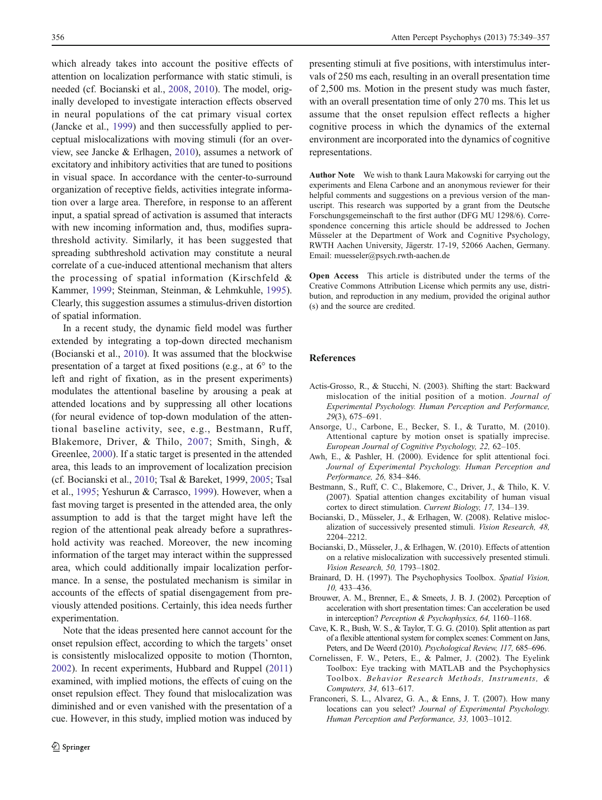<span id="page-7-0"></span>which already takes into account the positive effects of attention on localization performance with static stimuli, is needed (cf. Bocianski et al., 2008, 2010). The model, originally developed to investigate interaction effects observed in neural populations of the cat primary visual cortex (Jancke et al., [1999](#page-8-0)) and then successfully applied to perceptual mislocalizations with moving stimuli (for an overview, see Jancke & Erlhagen, [2010\)](#page-8-0), assumes a network of excitatory and inhibitory activities that are tuned to positions in visual space. In accordance with the center-to-surround organization of receptive fields, activities integrate information over a large area. Therefore, in response to an afferent input, a spatial spread of activation is assumed that interacts with new incoming information and, thus, modifies suprathreshold activity. Similarly, it has been suggested that spreading subthreshold activation may constitute a neural correlate of a cue-induced attentional mechanism that alters the processing of spatial information (Kirschfeld & Kammer, [1999;](#page-8-0) Steinman, Steinman, & Lehmkuhle, [1995](#page-8-0)). Clearly, this suggestion assumes a stimulus-driven distortion of spatial information.

In a recent study, the dynamic field model was further extended by integrating a top-down directed mechanism (Bocianski et al., 2010). It was assumed that the blockwise presentation of a target at fixed positions (e.g., at 6° to the left and right of fixation, as in the present experiments) modulates the attentional baseline by arousing a peak at attended locations and by suppressing all other locations (for neural evidence of top-down modulation of the attentional baseline activity, see, e.g., Bestmann, Ruff, Blakemore, Driver, & Thilo, 2007; Smith, Singh, & Greenlee, [2000](#page-8-0)). If a static target is presented in the attended area, this leads to an improvement of localization precision (cf. Bocianski et al., 2010; Tsal & Bareket, 1999, [2005;](#page-8-0) Tsal et al., [1995](#page-8-0); Yeshurun & Carrasco, [1999](#page-8-0)). However, when a fast moving target is presented in the attended area, the only assumption to add is that the target might have left the region of the attentional peak already before a suprathreshold activity was reached. Moreover, the new incoming information of the target may interact within the suppressed area, which could additionally impair localization performance. In a sense, the postulated mechanism is similar in accounts of the effects of spatial disengagement from previously attended positions. Certainly, this idea needs further experimentation.

Note that the ideas presented here cannot account for the onset repulsion effect, according to which the targets' onset is consistently mislocalized opposite to motion (Thornton, [2002\)](#page-8-0). In recent experiments, Hubbard and Ruppel [\(2011\)](#page-8-0) examined, with implied motions, the effects of cuing on the onset repulsion effect. They found that mislocalization was diminished and or even vanished with the presentation of a cue. However, in this study, implied motion was induced by

presenting stimuli at five positions, with interstimulus intervals of 250 ms each, resulting in an overall presentation time of 2,500 ms. Motion in the present study was much faster, with an overall presentation time of only 270 ms. This let us assume that the onset repulsion effect reflects a higher cognitive process in which the dynamics of the external environment are incorporated into the dynamics of cognitive representations.

Author Note We wish to thank Laura Makowski for carrying out the experiments and Elena Carbone and an anonymous reviewer for their helpful comments and suggestions on a previous version of the manuscript. This research was supported by a grant from the Deutsche Forschungsgemeinschaft to the first author (DFG MU 1298/6). Correspondence concerning this article should be addressed to Jochen Müsseler at the Department of Work and Cognitive Psychology, RWTH Aachen University, Jägerstr. 17-19, 52066 Aachen, Germany. Email: muesseler@psych.rwth-aachen.de

Open Access This article is distributed under the terms of the Creative Commons Attribution License which permits any use, distribution, and reproduction in any medium, provided the original author (s) and the source are credited.

#### References

- Actis-Grosso, R., & Stucchi, N. (2003). Shifting the start: Backward mislocation of the initial position of a motion. Journal of Experimental Psychology. Human Perception and Performance, 29(3), 675–691.
- Ansorge, U., Carbone, E., Becker, S. I., & Turatto, M. (2010). Attentional capture by motion onset is spatially imprecise. European Journal of Cognitive Psychology, 22, 62–105.
- Awh, E., & Pashler, H. (2000). Evidence for split attentional foci. Journal of Experimental Psychology. Human Perception and Performance, 26, 834–846.
- Bestmann, S., Ruff, C. C., Blakemore, C., Driver, J., & Thilo, K. V. (2007). Spatial attention changes excitability of human visual cortex to direct stimulation. Current Biology, 17, 134–139.
- Bocianski, D., Müsseler, J., & Erlhagen, W. (2008). Relative mislocalization of successively presented stimuli. Vision Research, 48, 2204–2212.
- Bocianski, D., Müsseler, J., & Erlhagen, W. (2010). Effects of attention on a relative mislocalization with successively presented stimuli. Vision Research, 50, 1793–1802.
- Brainard, D. H. (1997). The Psychophysics Toolbox. Spatial Vision, 10, 433–436.
- Brouwer, A. M., Brenner, E., & Smeets, J. B. J. (2002). Perception of acceleration with short presentation times: Can acceleration be used in interception? Perception & Psychophysics, 64, 1160–1168.
- Cave, K. R., Bush, W. S., & Taylor, T. G. G. (2010). Split attention as part of a flexible attentional system for complex scenes: Comment on Jans, Peters, and De Weerd (2010). Psychological Review, 117, 685–696.
- Cornelissen, F. W., Peters, E., & Palmer, J. (2002). The Eyelink Toolbox: Eye tracking with MATLAB and the Psychophysics Toolbox. Behavior Research Methods, Instruments, & Computers, 34, 613–617.
- Franconeri, S. L., Alvarez, G. A., & Enns, J. T. (2007). How many locations can you select? Journal of Experimental Psychology. Human Perception and Performance, 33, 1003–1012.